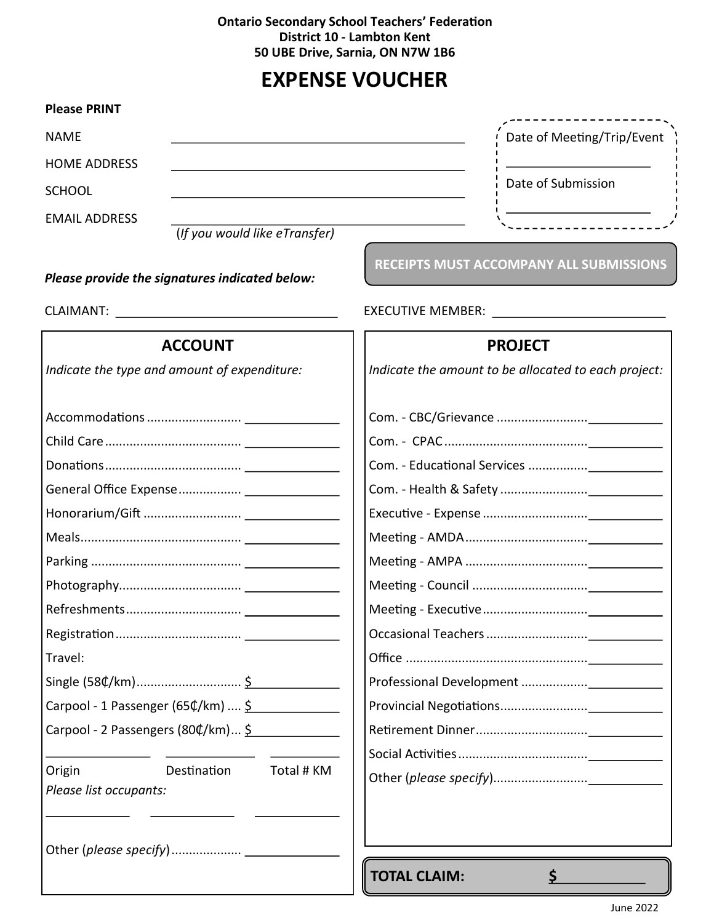## **Ontario Secondary School Teachers' Federation District 10 - Lambton Kent 50 UBE Drive, Sarnia, ON N7W 1B6**

## **EXPENSE VOUCHER**

| <b>Please PRINT</b>                                           |                                                      |  |  |
|---------------------------------------------------------------|------------------------------------------------------|--|--|
| <b>NAME</b>                                                   | Date of Meeting/Trip/Event                           |  |  |
| <b>HOME ADDRESS</b>                                           |                                                      |  |  |
| <b>SCHOOL</b>                                                 | Date of Submission                                   |  |  |
| <b>EMAIL ADDRESS</b>                                          | __________________/                                  |  |  |
| (If you would like eTransfer)                                 |                                                      |  |  |
| Please provide the signatures indicated below:                | RECEIPTS MUST ACCOMPANY ALL SUBMISSIONS              |  |  |
|                                                               |                                                      |  |  |
| <b>ACCOUNT</b>                                                | <b>PROJECT</b>                                       |  |  |
| Indicate the type and amount of expenditure:                  | Indicate the amount to be allocated to each project: |  |  |
|                                                               |                                                      |  |  |
|                                                               |                                                      |  |  |
|                                                               |                                                      |  |  |
|                                                               |                                                      |  |  |
|                                                               |                                                      |  |  |
|                                                               |                                                      |  |  |
|                                                               |                                                      |  |  |
|                                                               |                                                      |  |  |
|                                                               |                                                      |  |  |
|                                                               |                                                      |  |  |
| Travel:                                                       |                                                      |  |  |
|                                                               |                                                      |  |  |
| Carpool - 1 Passenger (65¢/km)  \$                            |                                                      |  |  |
| Carpool - 2 Passengers (80¢/km) \$                            |                                                      |  |  |
|                                                               |                                                      |  |  |
| Total # KM<br>Origin<br>Destination<br>Please list occupants: |                                                      |  |  |
|                                                               | <b>TOTAL CLAIM:</b><br>\$                            |  |  |